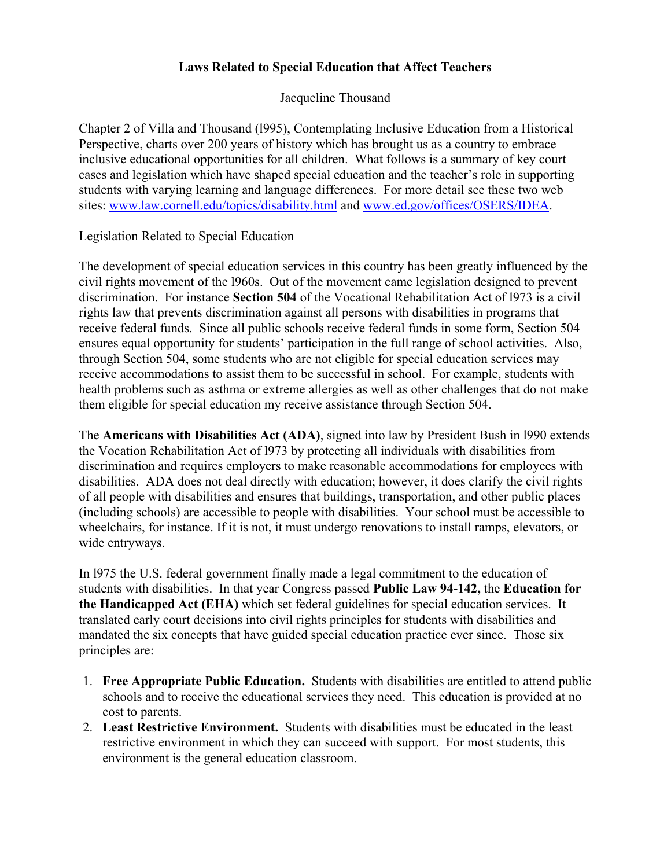## **Laws Related to Special Education that Affect Teachers**

Jacqueline Thousand

Chapter 2 of Villa and Thousand (l995), Contemplating Inclusive Education from a Historical Perspective, charts over 200 years of history which has brought us as a country to embrace inclusive educational opportunities for all children. What follows is a summary of key court cases and legislation which have shaped special education and the teacher's role in supporting students with varying learning and language differences. For more detail see these two web sites: www.law.cornell.edu/topics/disability.html and www.ed.gov/offices/OSERS/IDEA.

## Legislation Related to Special Education

The development of special education services in this country has been greatly influenced by the civil rights movement of the l960s. Out of the movement came legislation designed to prevent discrimination. For instance **Section 504** of the Vocational Rehabilitation Act of l973 is a civil rights law that prevents discrimination against all persons with disabilities in programs that receive federal funds. Since all public schools receive federal funds in some form, Section 504 ensures equal opportunity for students' participation in the full range of school activities. Also, through Section 504, some students who are not eligible for special education services may receive accommodations to assist them to be successful in school. For example, students with health problems such as asthma or extreme allergies as well as other challenges that do not make them eligible for special education my receive assistance through Section 504.

The **Americans with Disabilities Act (ADA)**, signed into law by President Bush in l990 extends the Vocation Rehabilitation Act of l973 by protecting all individuals with disabilities from discrimination and requires employers to make reasonable accommodations for employees with disabilities. ADA does not deal directly with education; however, it does clarify the civil rights of all people with disabilities and ensures that buildings, transportation, and other public places (including schools) are accessible to people with disabilities. Your school must be accessible to wheelchairs, for instance. If it is not, it must undergo renovations to install ramps, elevators, or wide entryways.

In l975 the U.S. federal government finally made a legal commitment to the education of students with disabilities. In that year Congress passed **Public Law 94-142,** the **Education for the Handicapped Act (EHA)** which set federal guidelines for special education services. It translated early court decisions into civil rights principles for students with disabilities and mandated the six concepts that have guided special education practice ever since. Those six principles are:

- 1. **Free Appropriate Public Education.** Students with disabilities are entitled to attend public schools and to receive the educational services they need. This education is provided at no cost to parents.
- 2. **Least Restrictive Environment.** Students with disabilities must be educated in the least restrictive environment in which they can succeed with support. For most students, this environment is the general education classroom.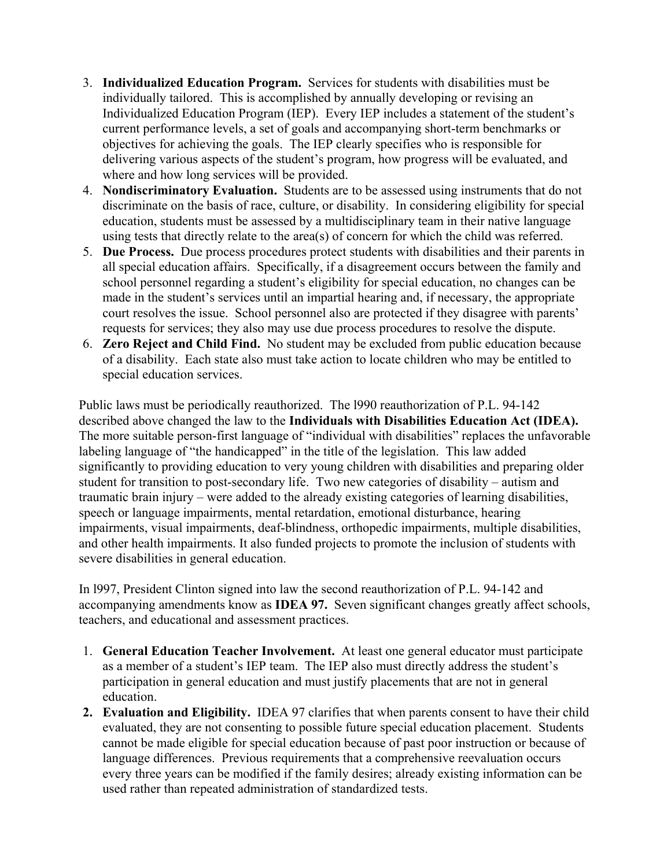- 3. **Individualized Education Program.** Services for students with disabilities must be individually tailored. This is accomplished by annually developing or revising an Individualized Education Program (IEP). Every IEP includes a statement of the student's current performance levels, a set of goals and accompanying short-term benchmarks or objectives for achieving the goals. The IEP clearly specifies who is responsible for delivering various aspects of the student's program, how progress will be evaluated, and where and how long services will be provided.
- 4. **Nondiscriminatory Evaluation.** Students are to be assessed using instruments that do not discriminate on the basis of race, culture, or disability. In considering eligibility for special education, students must be assessed by a multidisciplinary team in their native language using tests that directly relate to the area(s) of concern for which the child was referred.
- 5. **Due Process.** Due process procedures protect students with disabilities and their parents in all special education affairs. Specifically, if a disagreement occurs between the family and school personnel regarding a student's eligibility for special education, no changes can be made in the student's services until an impartial hearing and, if necessary, the appropriate court resolves the issue. School personnel also are protected if they disagree with parents' requests for services; they also may use due process procedures to resolve the dispute.
- 6. **Zero Reject and Child Find.** No student may be excluded from public education because of a disability. Each state also must take action to locate children who may be entitled to special education services.

Public laws must be periodically reauthorized. The l990 reauthorization of P.L. 94-142 described above changed the law to the **Individuals with Disabilities Education Act (IDEA).** The more suitable person-first language of "individual with disabilities" replaces the unfavorable labeling language of "the handicapped" in the title of the legislation. This law added significantly to providing education to very young children with disabilities and preparing older student for transition to post-secondary life. Two new categories of disability – autism and traumatic brain injury – were added to the already existing categories of learning disabilities, speech or language impairments, mental retardation, emotional disturbance, hearing impairments, visual impairments, deaf-blindness, orthopedic impairments, multiple disabilities, and other health impairments. It also funded projects to promote the inclusion of students with severe disabilities in general education.

In l997, President Clinton signed into law the second reauthorization of P.L. 94-142 and accompanying amendments know as **IDEA 97.** Seven significant changes greatly affect schools, teachers, and educational and assessment practices.

- 1. **General Education Teacher Involvement.** At least one general educator must participate as a member of a student's IEP team. The IEP also must directly address the student's participation in general education and must justify placements that are not in general education.
- **2. Evaluation and Eligibility.** IDEA 97 clarifies that when parents consent to have their child evaluated, they are not consenting to possible future special education placement. Students cannot be made eligible for special education because of past poor instruction or because of language differences.Previous requirements that a comprehensive reevaluation occurs every three years can be modified if the family desires; already existing information can be used rather than repeated administration of standardized tests.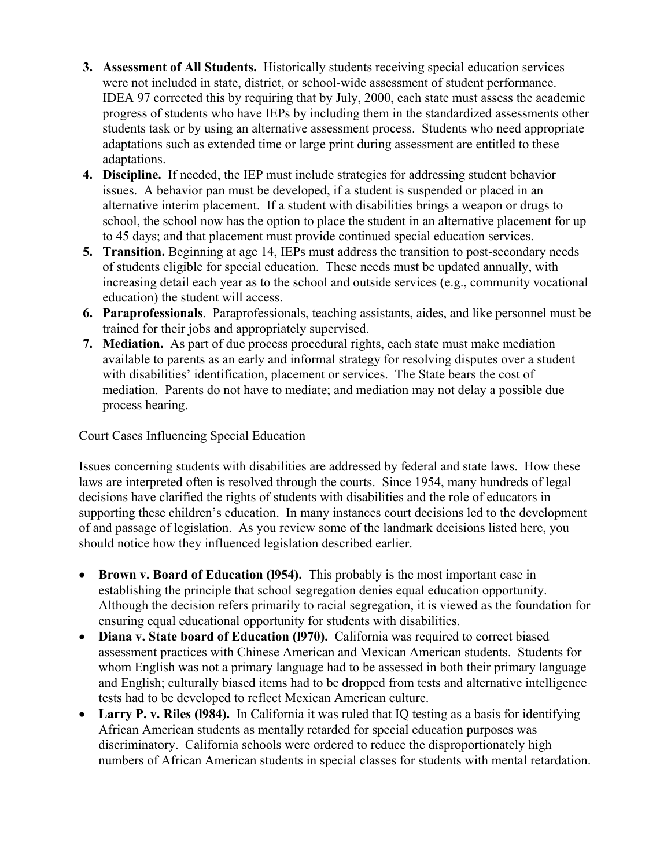- **3. Assessment of All Students.** Historically students receiving special education services were not included in state, district, or school-wide assessment of student performance. IDEA 97 corrected this by requiring that by July, 2000, each state must assess the academic progress of students who have IEPs by including them in the standardized assessments other students task or by using an alternative assessment process. Students who need appropriate adaptations such as extended time or large print during assessment are entitled to these adaptations.
- **4. Discipline.** If needed, the IEP must include strategies for addressing student behavior issues. A behavior pan must be developed, if a student is suspended or placed in an alternative interim placement. If a student with disabilities brings a weapon or drugs to school, the school now has the option to place the student in an alternative placement for up to 45 days; and that placement must provide continued special education services.
- **5. Transition.** Beginning at age 14, IEPs must address the transition to post-secondary needs of students eligible for special education. These needs must be updated annually, with increasing detail each year as to the school and outside services (e.g., community vocational education) the student will access.
- **6. Paraprofessionals**. Paraprofessionals, teaching assistants, aides, and like personnel must be trained for their jobs and appropriately supervised.
- **7. Mediation.** As part of due process procedural rights, each state must make mediation available to parents as an early and informal strategy for resolving disputes over a student with disabilities' identification, placement or services. The State bears the cost of mediation. Parents do not have to mediate; and mediation may not delay a possible due process hearing.

## Court Cases Influencing Special Education

Issues concerning students with disabilities are addressed by federal and state laws. How these laws are interpreted often is resolved through the courts. Since 1954, many hundreds of legal decisions have clarified the rights of students with disabilities and the role of educators in supporting these children's education. In many instances court decisions led to the development of and passage of legislation. As you review some of the landmark decisions listed here, you should notice how they influenced legislation described earlier.

- **Brown v. Board of Education (1954).** This probably is the most important case in establishing the principle that school segregation denies equal education opportunity. Although the decision refers primarily to racial segregation, it is viewed as the foundation for ensuring equal educational opportunity for students with disabilities.
- **Diana v. State board of Education (1970).** California was required to correct biased assessment practices with Chinese American and Mexican American students. Students for whom English was not a primary language had to be assessed in both their primary language and English; culturally biased items had to be dropped from tests and alternative intelligence tests had to be developed to reflect Mexican American culture.
- Larry P. v. Riles (1984). In California it was ruled that IQ testing as a basis for identifying African American students as mentally retarded for special education purposes was discriminatory. California schools were ordered to reduce the disproportionately high numbers of African American students in special classes for students with mental retardation.